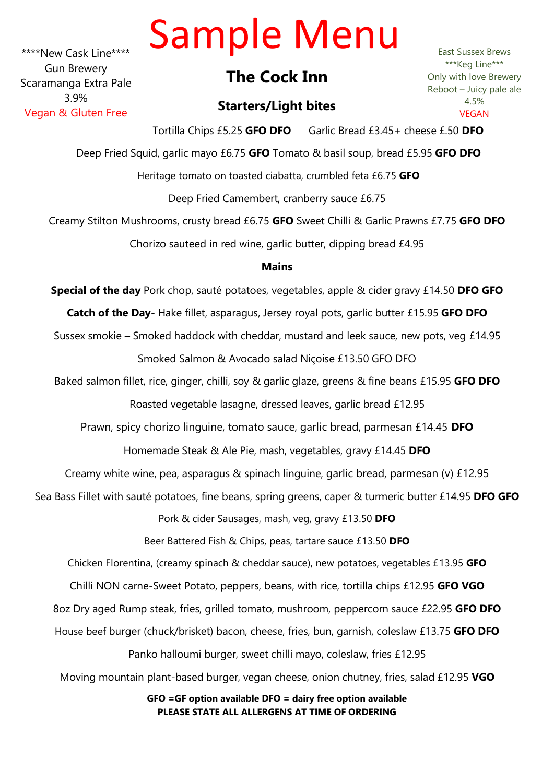# Sample Menu

\*\*\*\*New Cask Line\*\*\*\* Gun Brewery Scaramanga Extra Pale 3.9% Vegan & Gluten Free

# **The Cock Inn**

# **Starters/Light bites**

East Sussex Brews \*\*\*Keg Line\*\*\* Only with love Brewery Reboot – Juicy pale ale 4.5% VEGAN

Tortilla Chips £5.25 **GFO DFO** Garlic Bread £3.45+ cheese £.50 **DFO** Deep Fried Squid, garlic mayo £6.75 **GFO** Tomato & basil soup, bread £5.95 **GFO DFO** Heritage tomato on toasted ciabatta, crumbled feta £6.75 **GFO**  Deep Fried Camembert, cranberry sauce £6.75 Creamy Stilton Mushrooms, crusty bread £6.75 **GFO** Sweet Chilli & Garlic Prawns £7.75 **GFO DFO** 

Chorizo sauteed in red wine, garlic butter, dipping bread £4.95

## **Mains**

**Special of the day** Pork chop, sauté potatoes, vegetables, apple & cider gravy £14.50 **DFO GFO Catch of the Day-** Hake fillet, asparagus, Jersey royal pots, garlic butter £15.95 **GFO DFO** Sussex smokie **–** Smoked haddock with cheddar, mustard and leek sauce, new pots, veg £14.95 Smoked Salmon & Avocado salad Niçoise £13.50 GFO DFO Baked salmon fillet, rice, ginger, chilli, soy & garlic glaze, greens & fine beans £15.95 **GFO DFO** Roasted vegetable lasagne, dressed leaves, garlic bread £12.95 Prawn, spicy chorizo linguine, tomato sauce, garlic bread, parmesan £14.45 **DFO** Homemade Steak & Ale Pie, mash, vegetables, gravy £14.45 **DFO** Creamy white wine, pea, asparagus & spinach linguine, garlic bread, parmesan (v) £12.95 Sea Bass Fillet with sauté potatoes, fine beans, spring greens, caper & turmeric butter £14.95 **DFO GFO** Pork & cider Sausages, mash, veg, gravy £13.50 **DFO** Beer Battered Fish & Chips, peas, tartare sauce £13.50 **DFO** Chicken Florentina, (creamy spinach & cheddar sauce), new potatoes, vegetables £13.95 **GFO** Chilli NON carne-Sweet Potato, peppers, beans, with rice, tortilla chips £12.95 **GFO VGO** 8oz Dry aged Rump steak, fries, grilled tomato, mushroom, peppercorn sauce £22.95 **GFO DFO** House beef burger (chuck/brisket) bacon, cheese, fries, bun, garnish, coleslaw £13.75 **GFO DFO** Panko halloumi burger, sweet chilli mayo, coleslaw, fries £12.95 Moving mountain plant-based burger, vegan cheese, onion chutney, fries, salad £12.95 **VGO**

**GFO =GF option available DFO = dairy free option available PLEASE STATE ALL ALLERGENS AT TIME OF ORDERING**